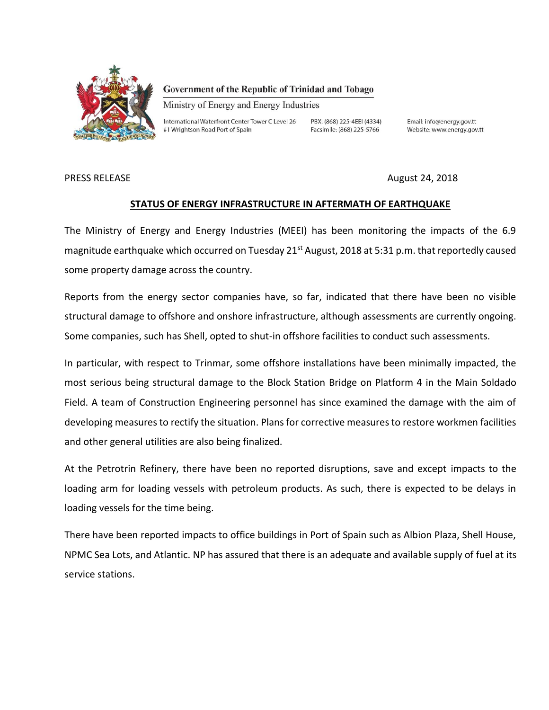

#### Government of the Republic of Trinidad and Tobago

Ministry of Energy and Energy Industries

International Waterfront Center Tower C Level 26 #1 Wrightson Road Port of Spain

PBX: (868) 225-4EEI (4334) Facsimile: (868) 225-5766

Email: info@energy.gov.tt Website: www.energy.gov.tt

PRESS RELEASE **August 24, 2018** 

### **STATUS OF ENERGY INFRASTRUCTURE IN AFTERMATH OF EARTHQUAKE**

The Ministry of Energy and Energy Industries (MEEI) has been monitoring the impacts of the 6.9 magnitude earthquake which occurred on Tuesday 21<sup>st</sup> August, 2018 at 5:31 p.m. that reportedly caused some property damage across the country.

Reports from the energy sector companies have, so far, indicated that there have been no visible structural damage to offshore and onshore infrastructure, although assessments are currently ongoing. Some companies, such has Shell, opted to shut-in offshore facilities to conduct such assessments.

In particular, with respect to Trinmar, some offshore installations have been minimally impacted, the most serious being structural damage to the Block Station Bridge on Platform 4 in the Main Soldado Field. A team of Construction Engineering personnel has since examined the damage with the aim of developing measures to rectify the situation. Plans for corrective measures to restore workmen facilities and other general utilities are also being finalized.

At the Petrotrin Refinery, there have been no reported disruptions, save and except impacts to the loading arm for loading vessels with petroleum products. As such, there is expected to be delays in loading vessels for the time being.

There have been reported impacts to office buildings in Port of Spain such as Albion Plaza, Shell House, NPMC Sea Lots, and Atlantic. NP has assured that there is an adequate and available supply of fuel at its service stations.